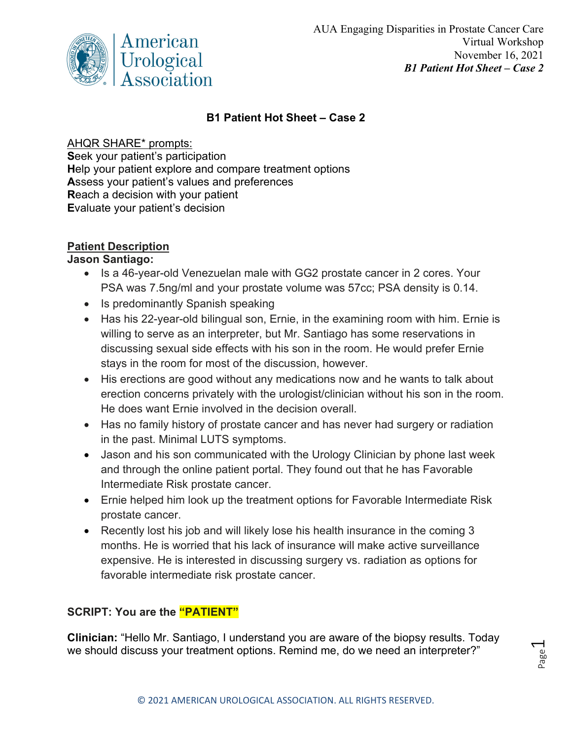

### **B1 Patient Hot Sheet – Case 2**

#### AHQR SHARE\* prompts:

**S**eek your patient's participation **H**elp your patient explore and compare treatment options **A**ssess your patient's values and preferences **R**each a decision with your patient **E**valuate your patient's decision

# **Patient Description**

#### **Jason Santiago:**

- Is a 46-year-old Venezuelan male with GG2 prostate cancer in 2 cores. Your PSA was 7.5ng/ml and your prostate volume was 57cc; PSA density is 0.14.
- Is predominantly Spanish speaking
- Has his 22-year-old bilingual son, Ernie, in the examining room with him. Ernie is willing to serve as an interpreter, but Mr. Santiago has some reservations in discussing sexual side effects with his son in the room. He would prefer Ernie stays in the room for most of the discussion, however.
- His erections are good without any medications now and he wants to talk about erection concerns privately with the urologist/clinician without his son in the room. He does want Ernie involved in the decision overall.
- Has no family history of prostate cancer and has never had surgery or radiation in the past. Minimal LUTS symptoms.
- Jason and his son communicated with the Urology Clinician by phone last week and through the online patient portal. They found out that he has Favorable Intermediate Risk prostate cancer.
- Ernie helped him look up the treatment options for Favorable Intermediate Risk prostate cancer.
- Recently lost his job and will likely lose his health insurance in the coming 3 months. He is worried that his lack of insurance will make active surveillance expensive. He is interested in discussing surgery vs. radiation as options for favorable intermediate risk prostate cancer.

# **SCRIPT: You are the "PATIENT"**

**Clinician:** "Hello Mr. Santiago, I understand you are aware of the biopsy results. Today we should discuss your treatment options. Remind me, do we need an interpreter?"

Page  $\overline{\phantom{0}}$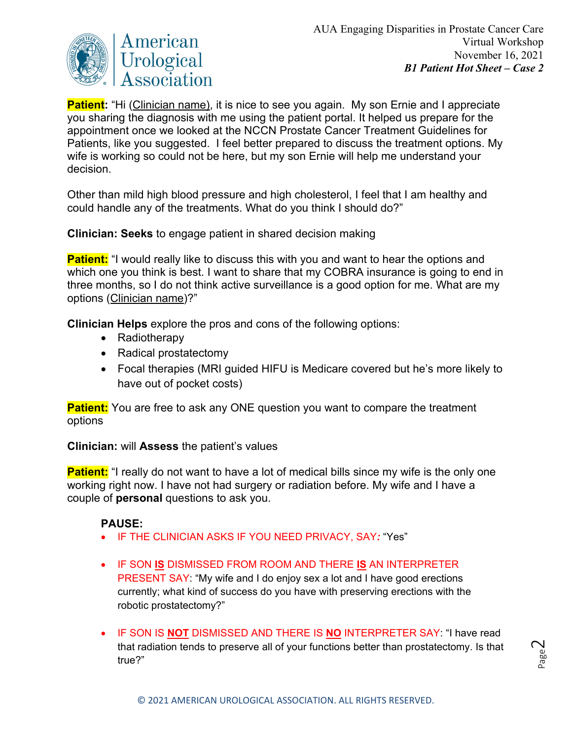

**Patient:** "Hi (Clinician name), it is nice to see you again. My son Ernie and I appreciate you sharing the diagnosis with me using the patient portal. It helped us prepare for the appointment once we looked at the NCCN Prostate Cancer Treatment Guidelines for Patients, like you suggested. I feel better prepared to discuss the treatment options. My wife is working so could not be here, but my son Ernie will help me understand your decision.

Other than mild high blood pressure and high cholesterol, I feel that I am healthy and could handle any of the treatments. What do you think I should do?"

**Clinician: Seeks** to engage patient in shared decision making

**Patient:** "I would really like to discuss this with you and want to hear the options and which one you think is best. I want to share that my COBRA insurance is going to end in three months, so I do not think active surveillance is a good option for me. What are my options (Clinician name)?"

**Clinician Helps** explore the pros and cons of the following options:

- Radiotherapy
- Radical prostatectomy
- Focal therapies (MRI guided HIFU is Medicare covered but he's more likely to have out of pocket costs)

**Patient:** You are free to ask any ONE question you want to compare the treatment options

**Clinician:** will **Assess** the patient's values

**Patient:** "I really do not want to have a lot of medical bills since my wife is the only one working right now. I have not had surgery or radiation before. My wife and I have a couple of **personal** questions to ask you.

# **PAUSE:**

- IF THE CLINICIAN ASKS IF YOU NEED PRIVACY, SAY*:* "Yes"
- IF SON **IS** DISMISSED FROM ROOM AND THERE **IS** AN INTERPRETER PRESENT SAY: "My wife and I do enjoy sex a lot and I have good erections currently; what kind of success do you have with preserving erections with the robotic prostatectomy?"
- IF SON IS **NOT** DISMISSED AND THERE IS **NO** INTERPRETER SAY: "I have read that radiation tends to preserve all of your functions better than prostatectomy. Is that true?"